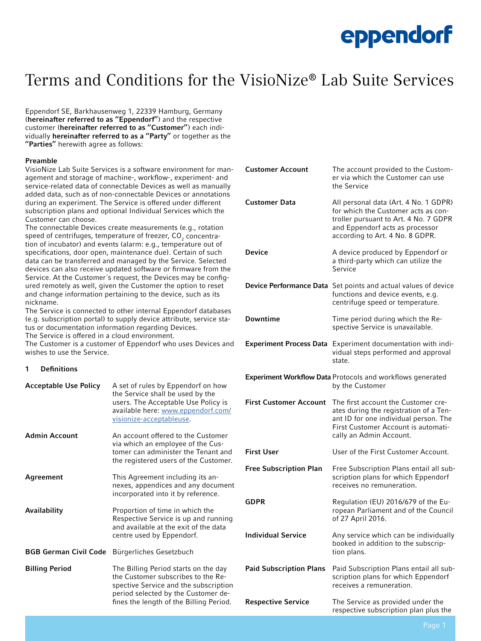### Terms and Conditions for the VisioNize® Lab Suite Services

Eppendorf SE, Barkhausenweg 1, 22339 Hamburg, Germany (hereinafter referred to as "Eppendorf") and the respective customer (hereinafter referred to as "Customer") each individually **hereinafter referred to as a "Party"** or together as the "Parties" herewith agree as follows:

#### Preamble

VisioNize Lab Suite Services is a software environment for management and storage of machine-, workflow-, experiment- and service-related data of connectable Devices as well as manually added data, such as of non-connectable Devices or annotations during an experiment. The Service is offered under different subscription plans and optional Individual Services which the Customer can choose.

The connectable Devices create measurements (e.g., rotation speed of centrifuges, temperature of freezer, CO $_{\textrm{\tiny{2}}}$  concentration of incubator) and events (alarm: e.g., temperature out of specifications, door open, maintenance due). Certain of such data can be transferred and managed by the Service. Selected devices can also receive updated software or firmware from the Service. At the Customer´s request, the Devices may be configured remotely as well, given the Customer the option to reset and change information pertaining to the device, such as its nickname.

The Service is connected to other internal Eppendorf databases (e.g. subscription portal) to supply device attribute, service status or documentation information regarding Devices.

The Service is offered in a cloud environment.

The Customer is a customer of Eppendorf who uses Devices and wishes to use the Service.

#### 1 Definitions

| <b>Acceptable Use Policy</b> | A set of rules by Eppendorf on how<br>the Service shall be used by the<br>users. The Acceptable Use Policy is<br>available here: www.eppendorf.com/<br>visionize-acceptableuse.                       |
|------------------------------|-------------------------------------------------------------------------------------------------------------------------------------------------------------------------------------------------------|
| <b>Admin Account</b>         | An account offered to the Customer<br>via which an employee of the Cus-<br>tomer can administer the Tenant and<br>the registered users of the Customer.                                               |
| Agreement                    | This Agreement including its an-<br>nexes, appendices and any document<br>incorporated into it by reference.                                                                                          |
| Availability                 | Proportion of time in which the<br>Respective Service is up and running<br>and available at the exit of the data<br>centre used by Eppendorf.                                                         |
| <b>BGB German Civil Code</b> | Bürgerliches Gesetzbuch                                                                                                                                                                               |
| <b>Billing Period</b>        | The Billing Period starts on the day<br>the Customer subscribes to the Re-<br>spective Service and the subscription<br>period selected by the Customer de-<br>fines the length of the Billing Period. |

| <b>Customer Account</b>                                                       | The account provided to the Custom-<br>er via which the Customer can use<br>the Service                                                                                                     |
|-------------------------------------------------------------------------------|---------------------------------------------------------------------------------------------------------------------------------------------------------------------------------------------|
| <b>Customer Data</b>                                                          | All personal data (Art. 4 No. 1 GDPR)<br>for which the Customer acts as con-<br>troller pursuant to Art. 4 No. 7 GDPR<br>and Eppendorf acts as processor<br>according to Art. 4 No. 8 GDPR. |
| Device                                                                        | A device produced by Eppendorf or<br>a third-party which can utilize the<br>Service                                                                                                         |
|                                                                               | Device Performance Data Set points and actual values of device<br>functions and device events, e.g.<br>centrifuge speed or temperature.                                                     |
| Downtime                                                                      | Time period during which the Re-<br>spective Service is unavailable.                                                                                                                        |
|                                                                               | <b>Experiment Process Data</b> Experiment documentation with indi-<br>vidual steps performed and approval<br>state.                                                                         |
| Experiment Workflow Data Protocols and workflows generated<br>by the Customer |                                                                                                                                                                                             |
| <b>First Customer Account</b>                                                 | The first account the Customer cre-<br>ates during the registration of a Ten-<br>ant ID for one individual person. The<br>First Customer Account is automati-<br>cally an Admin Account.    |
| <b>First User</b>                                                             | User of the First Customer Account.                                                                                                                                                         |
| <b>Free Subscription Plan</b>                                                 | Free Subscription Plans entail all sub-<br>scription plans for which Eppendorf<br>receives no remuneration.                                                                                 |
| GDPR                                                                          | Regulation (EU) 2016/679 of the Eu-<br>ropean Parliament and of the Council<br>of 27 April 2016.                                                                                            |
| <b>Individual Service</b>                                                     | Any service which can be individually<br>booked in addition to the subscrip-<br>tion plans.                                                                                                 |
| <b>Paid Subscription Plans</b>                                                | Paid Subscription Plans entail all sub-<br>scription plans for which Eppendorf<br>receives a remuneration.                                                                                  |
| <b>Respective Service</b>                                                     | The Service as provided under the<br>respective subscription plan plus the                                                                                                                  |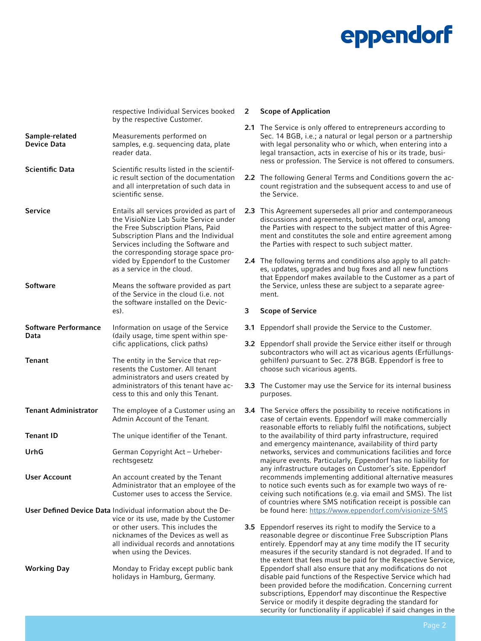|                                      | respective Individual Services booked<br>by the respective Customer.                                                                                                                                                                                                                                               |
|--------------------------------------|--------------------------------------------------------------------------------------------------------------------------------------------------------------------------------------------------------------------------------------------------------------------------------------------------------------------|
| Sample-related<br><b>Device Data</b> | Measurements performed on<br>samples, e.g. sequencing data, plate<br>reader data.                                                                                                                                                                                                                                  |
| <b>Scientific Data</b>               | Scientific results listed in the scientif-<br>ic result section of the documentation<br>and all interpretation of such data in<br>scientific sense.                                                                                                                                                                |
| <b>Service</b>                       | Entails all services provided as part of<br>the VisioNize Lab Suite Service under<br>the Free Subscription Plans, Paid<br>Subscription Plans and the Individual<br>Services including the Software and<br>the corresponding storage space pro-<br>vided by Eppendorf to the Customer<br>as a service in the cloud. |
| Software                             | Means the software provided as part<br>of the Service in the cloud (i.e. not<br>the software installed on the Devic-<br>$es$ ).                                                                                                                                                                                    |
| Software Performance<br>Data         | Information on usage of the Service<br>(daily usage, time spent within spe-<br>cific applications, click paths)                                                                                                                                                                                                    |
| Tenant                               | The entity in the Service that rep-<br>resents the Customer. All tenant<br>administrators and users created by<br>administrators of this tenant have ac-<br>cess to this and only this Tenant.                                                                                                                     |
| <b>Tenant Administrator</b>          | The employee of a Customer using an<br>Admin Account of the Tenant.                                                                                                                                                                                                                                                |
| <b>Tenant ID</b>                     | The unique identifier of the Tenant.                                                                                                                                                                                                                                                                               |
| UrhG                                 | German Copyright Act - Urheber-<br>rechtsgesetz                                                                                                                                                                                                                                                                    |
| <b>User Account</b>                  | An account created by the Tenant<br>Administrator that an employee of the<br>Customer uses to access the Service.                                                                                                                                                                                                  |
|                                      | User Defined Device Data Individual information about the De-<br>vice or its use, made by the Customer<br>or other users. This includes the<br>nicknames of the Devices as well as<br>all individual records and annotations<br>when using the Devices.                                                            |
| <b>Working Day</b>                   | Monday to Friday except public bank<br>holidays in Hamburg, Germany.                                                                                                                                                                                                                                               |

#### 2 Scope of Application

- 2.1 The Service is only offered to entrepreneurs according to Sec. 14 BGB, i.e.; a natural or legal person or a partnership with legal personality who or which, when entering into a legal transaction, acts in exercise of his or its trade, business or profession. The Service is not offered to consumers.
- 2.2 The following General Terms and Conditions govern the account registration and the subsequent access to and use of the Service.
- 2.3 This Agreement supersedes all prior and contemporaneous discussions and agreements, both written and oral, among the Parties with respect to the subject matter of this Agreement and constitutes the sole and entire agreement among the Parties with respect to such subject matter.
- 2.4 The following terms and conditions also apply to all patches, updates, upgrades and bug fixes and all new functions that Eppendorf makes available to the Customer as a part of the Service, unless these are subject to a separate agreement.

#### 3 Scope of Service

- 3.1 Eppendorf shall provide the Service to the Customer.
- 3.2 Eppendorf shall provide the Service either itself or through subcontractors who will act as vicarious agents (Erfüllungsgehilfen) pursuant to Sec. 278 BGB. Eppendorf is free to choose such vicarious agents.
- **3.3** The Customer may use the Service for its internal business purposes.
- **3.4** The Service offers the possibility to receive notifications in case of certain events. Eppendorf will make commercially reasonable efforts to reliably fulfil the notifications, subject to the availability of third party infrastructure, required and emergency maintenance, availability of third party networks, services and communications facilities and force majeure events. Particularly, Eppendorf has no liability for any infrastructure outages on Customer's site. Eppendorf recommends implementing additional alternative measures to notice such events such as for example two ways of receiving such notifications (e.g. via email and SMS). The list of countries where SMS notification receipt is possible can be found here:<https://www.eppendorf.com/visionize-SMS>
- 3.5 Eppendorf reserves its right to modify the Service to a reasonable degree or discontinue Free Subscription Plans entirely. Eppendorf may at any time modify the IT security measures if the security standard is not degraded. If and to the extent that fees must be paid for the Respective Service, Eppendorf shall also ensure that any modifications do not disable paid functions of the Respective Service which had been provided before the modification. Concerning current subscriptions, Eppendorf may discontinue the Respective Service or modify it despite degrading the standard for security (or functionality if applicable) if said changes in the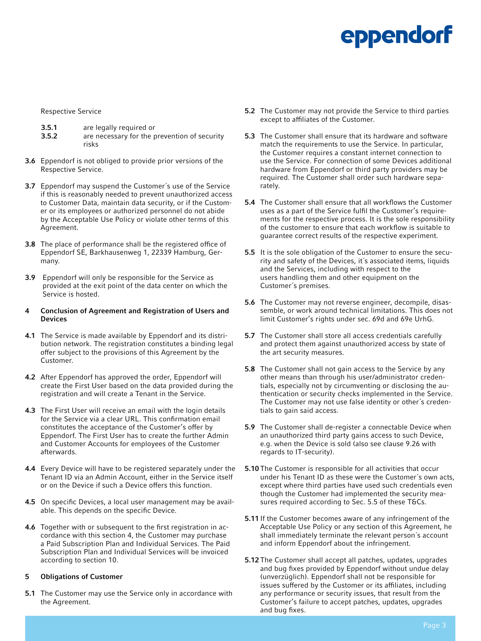Respective Service

- 3.5.1 are legally required or<br>3.5.2 are necessary for the p
- are necessary for the prevention of security risks
- 3.6 Eppendorf is not obliged to provide prior versions of the Respective Service.
- 3.7 Eppendorf may suspend the Customer´s use of the Service if this is reasonably needed to prevent unauthorized access to Customer Data, maintain data security, or if the Customer or its employees or authorized personnel do not abide by the Acceptable Use Policy or violate other terms of this Agreement.
- 3.8 The place of performance shall be the registered office of Eppendorf SE, Barkhausenweg 1, 22339 Hamburg, Germany.
- 3.9 Eppendorf will only be responsible for the Service as provided at the exit point of the data center on which the Service is hosted.
- 4 Conclusion of Agreement and Registration of Users and Devices
- 4.1 The Service is made available by Eppendorf and its distribution network. The registration constitutes a binding legal offer subject to the provisions of this Agreement by the Customer.
- 4.2 After Eppendorf has approved the order, Eppendorf will create the First User based on the data provided during the registration and will create a Tenant in the Service.
- 4.3 The First User will receive an email with the login details for the Service via a clear URL. This confirmation email constitutes the acceptance of the Customer's offer by Eppendorf. The First User has to create the further Admin and Customer Accounts for employees of the Customer afterwards.
- 4.4 Every Device will have to be registered separately under the Tenant ID via an Admin Account, either in the Service itself or on the Device if such a Device offers this function.
- 4.5 On specific Devices, a local user management may be available. This depends on the specific Device.
- 4.6 Together with or subsequent to the first registration in accordance with this section 4, the Customer may purchase a Paid Subscription Plan and Individual Services. The Paid Subscription Plan and Individual Services will be invoiced according to section 10.

#### 5 Obligations of Customer

**5.1** The Customer may use the Service only in accordance with the Agreement.

- 5.2 The Customer may not provide the Service to third parties except to affiliates of the Customer.
- 5.3 The Customer shall ensure that its hardware and software match the requirements to use the Service. In particular, the Customer requires a constant internet connection to use the Service. For connection of some Devices additional hardware from Eppendorf or third party providers may be required. The Customer shall order such hardware separately.
- 5.4 The Customer shall ensure that all workflows the Customer uses as a part of the Service fulfil the Customer's requirements for the respective process. It is the sole responsibility of the customer to ensure that each workflow is suitable to guarantee correct results of the respective experiment.
- 5.5 It is the sole obligation of the Customer to ensure the security and safety of the Devices, it´s associated items, liquids and the Services, including with respect to the users handling them and other equipment on the Customer´s premises.
- 5.6 The Customer may not reverse engineer, decompile, disassemble, or work around technical limitations. This does not limit Customer's rights under sec. 69d and 69e UrhG.
- 5.7 The Customer shall store all access credentials carefully and protect them against unauthorized access by state of the art security measures.
- 5.8 The Customer shall not gain access to the Service by any other means than through his user/administrator credentials, especially not by circumventing or disclosing the authentication or security checks implemented in the Service. The Customer may not use false identity or other´s credentials to gain said access.
- 5.9 The Customer shall de-register a connectable Device when an unauthorized third party gains access to such Device, e.g. when the Device is sold (also see clause 9.26 with regards to IT-security).
- 5.10 The Customer is responsible for all activities that occur under his Tenant ID as these were the Customer´s own acts, except where third parties have used such credentials even though the Customer had implemented the security measures required according to Sec. 5.5 of these T&Cs.
- **5.11** If the Customer becomes aware of any infringement of the Acceptable Use Policy or any section of this Agreement, he shall immediately terminate the relevant person´s account and inform Eppendorf about the infringement.
- 5.12 The Customer shall accept all patches, updates, upgrades and bug fixes provided by Eppendorf without undue delay (unverzüglich). Eppendorf shall not be responsible for issues suffered by the Customer or its affiliates, including any performance or security issues, that result from the Customer's failure to accept patches, updates, upgrades and bug fixes.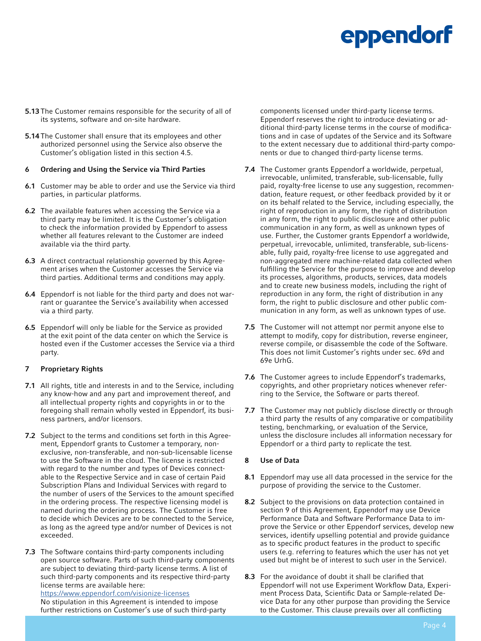- 5.13 The Customer remains responsible for the security of all of its systems, software and on-site hardware.
- 5.14 The Customer shall ensure that its employees and other authorized personnel using the Service also observe the Customer's obligation listed in this section 4.5.

#### 6 Ordering and Using the Service via Third Parties

- 6.1 Customer may be able to order and use the Service via third parties, in particular platforms.
- 6.2 The available features when accessing the Service via a third party may be limited. It is the Customer's obligation to check the information provided by Eppendorf to assess whether all features relevant to the Customer are indeed available via the third party.
- 6.3 A direct contractual relationship governed by this Agreement arises when the Customer accesses the Service via third parties. Additional terms and conditions may apply.
- 6.4 Eppendorf is not liable for the third party and does not warrant or guarantee the Service's availability when accessed via a third party.
- 6.5 Eppendorf will only be liable for the Service as provided at the exit point of the data center on which the Service is hosted even if the Customer accesses the Service via a third party.

#### 7 Proprietary Rights

- 7.1 All rights, title and interests in and to the Service, including any know-how and any part and improvement thereof, and all intellectual property rights and copyrights in or to the foregoing shall remain wholly vested in Eppendorf, its business partners, and/or licensors.
- 7.2 Subject to the terms and conditions set forth in this Agreement, Eppendorf grants to Customer a temporary, nonexclusive, non-transferable, and non-sub-licensable license to use the Software in the cloud. The license is restricted with regard to the number and types of Devices connectable to the Respective Service and in case of certain Paid Subscription Plans and Individual Services with regard to the number of users of the Services to the amount specified in the ordering process. The respective licensing model is named during the ordering process. The Customer is free to decide which Devices are to be connected to the Service, as long as the agreed type and/or number of Devices is not exceeded.
- 7.3 The Software contains third-party components including open source software. Parts of such third-party components are subject to deviating third-party license terms. A list of such third-party components and its respective third-party license terms are available here:

<https://www.eppendorf.com/visionize-licenses> No stipulation in this Agreement is intended to impose further restrictions on Customer's use of such third-party components licensed under third-party license terms. Eppendorf reserves the right to introduce deviating or additional third-party license terms in the course of modifications and in case of updates of the Service and its Software to the extent necessary due to additional third-party components or due to changed third-party license terms.

- 7.4 The Customer grants Eppendorf a worldwide, perpetual, irrevocable, unlimited, transferable, sub-licensable, fully paid, royalty-free license to use any suggestion, recommendation, feature request, or other feedback provided by it or on its behalf related to the Service, including especially, the right of reproduction in any form, the right of distribution in any form, the right to public disclosure and other public communication in any form, as well as unknown types of use. Further, the Customer grants Eppendorf a worldwide, perpetual, irrevocable, unlimited, transferable, sub-licensable, fully paid, royalty-free license to use aggregated and non-aggregated mere machine-related data collected when fulfilling the Service for the purpose to improve and develop its processes, algorithms, products, services, data models and to create new business models, including the right of reproduction in any form, the right of distribution in any form, the right to public disclosure and other public communication in any form, as well as unknown types of use.
- 7.5 The Customer will not attempt nor permit anyone else to attempt to modify, copy for distribution, reverse engineer, reverse compile, or disassemble the code of the Software. This does not limit Customer's rights under sec. 69d and 69e UrhG.
- 7.6 The Customer agrees to include Eppendorf's trademarks, copyrights, and other proprietary notices whenever referring to the Service, the Software or parts thereof.
- 7.7 The Customer may not publicly disclose directly or through a third party the results of any comparative or compatibility testing, benchmarking, or evaluation of the Service, unless the disclosure includes all information necessary for Eppendorf or a third party to replicate the test.

#### 8 Use of Data

- 8.1 Eppendorf may use all data processed in the service for the purpose of providing the service to the Customer.
- 8.2 Subject to the provisions on data protection contained in section 9 of this Agreement, Eppendorf may use Device Performance Data and Software Performance Data to improve the Service or other Eppendorf services, develop new services, identify upselling potential and provide guidance as to specific product features in the product to specific users (e.g. referring to features which the user has not yet used but might be of interest to such user in the Service).
- 8.3 For the avoidance of doubt it shall be clarified that Eppendorf will not use Experiment Workflow Data, Experiment Process Data, Scientific Data or Sample-related Device Data for any other purpose than providing the Service to the Customer. This clause prevails over all conflicting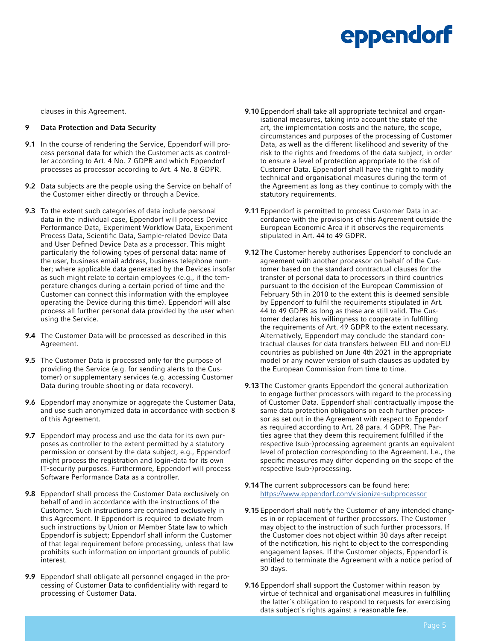clauses in this Agreement.

#### 9 Data Protection and Data Security

- 9.1 In the course of rendering the Service, Eppendorf will process personal data for which the Customer acts as controller according to Art. 4 No. 7 GDPR and which Eppendorf processes as processor according to Art. 4 No. 8 GDPR.
- 9.2 Data subjects are the people using the Service on behalf of the Customer either directly or through a Device.
- 9.3 To the extent such categories of data include personal data in the individual case, Eppendorf will process Device Performance Data, Experiment Workflow Data, Experiment Process Data, Scientific Data, Sample-related Device Data and User Defined Device Data as a processor. This might particularly the following types of personal data: name of the user, business email address, business telephone number; where applicable data generated by the Devices insofar as such might relate to certain employees (e.g., if the temperature changes during a certain period of time and the Customer can connect this information with the employee operating the Device during this time). Eppendorf will also process all further personal data provided by the user when using the Service.
- 9.4 The Customer Data will be processed as described in this Agreement.
- 9.5 The Customer Data is processed only for the purpose of providing the Service (e.g. for sending alerts to the Customer) or supplementary services (e.g. accessing Customer Data during trouble shooting or data recovery).
- 9.6 Eppendorf may anonymize or aggregate the Customer Data, and use such anonymized data in accordance with section 8 of this Agreement.
- 9.7 Eppendorf may process and use the data for its own purposes as controller to the extent permitted by a statutory permission or consent by the data subject, e.g., Eppendorf might process the registration and login-data for its own IT-security purposes. Furthermore, Eppendorf will process Software Performance Data as a controller.
- 9.8 Eppendorf shall process the Customer Data exclusively on behalf of and in accordance with the instructions of the Customer. Such instructions are contained exclusively in this Agreement. If Eppendorf is required to deviate from such instructions by Union or Member State law to which Eppendorf is subject; Eppendorf shall inform the Customer of that legal requirement before processing, unless that law prohibits such information on important grounds of public interest.
- 9.9 Eppendorf shall obligate all personnel engaged in the processing of Customer Data to confidentiality with regard to processing of Customer Data.
- 9.10 Eppendorf shall take all appropriate technical and organisational measures, taking into account the state of the art, the implementation costs and the nature, the scope, circumstances and purposes of the processing of Customer Data, as well as the different likelihood and severity of the risk to the rights and freedoms of the data subject, in order to ensure a level of protection appropriate to the risk of Customer Data. Eppendorf shall have the right to modify technical and organisational measures during the term of the Agreement as long as they continue to comply with the statutory requirements.
- 9.11 Eppendorf is permitted to process Customer Data in accordance with the provisions of this Agreement outside the European Economic Area if it observes the requirements stipulated in Art. 44 to 49 GDPR.
- 9.12 The Customer hereby authorises Eppendorf to conclude an agreement with another processor on behalf of the Customer based on the standard contractual clauses for the transfer of personal data to processors in third countries pursuant to the decision of the European Commission of February 5th in 2010 to the extent this is deemed sensible by Eppendorf to fulfil the requirements stipulated in Art. 44 to 49 GDPR as long as these are still valid. The Customer declares his willingness to cooperate in fulfilling the requirements of Art. 49 GDPR to the extent necessary. Alternatively, Eppendorf may conclude the standard contractual clauses for data transfers between EU and non-EU countries as published on June 4th 2021 in the appropriate model or any newer version of such clauses as updated by the European Commission from time to time.
- 9.13 The Customer grants Eppendorf the general authorization to engage further processors with regard to the processing of Customer Data. Eppendorf shall contractually impose the same data protection obligations on each further processor as set out in the Agreement with respect to Eppendorf as required according to Art. 28 para. 4 GDPR. The Parties agree that they deem this requirement fulfilled if the respective (sub-)processing agreement grants an equivalent level of protection corresponding to the Agreement. I.e., the specific measures may differ depending on the scope of the respective (sub-)processing.
- 9.14 The current subprocessors can be found here: <https://www.eppendorf.com/visionize-subprocessor>
- 9.15 Eppendorf shall notify the Customer of any intended changes in or replacement of further processors. The Customer may object to the instruction of such further processors. If the Customer does not object within 30 days after receipt of the notification, his right to object to the corresponding engagement lapses. If the Customer objects, Eppendorf is entitled to terminate the Agreement with a notice period of 30 days.
- 9.16 Eppendorf shall support the Customer within reason by virtue of technical and organisational measures in fulfilling the latter´s obligation to respond to requests for exercising data subject´s rights against a reasonable fee.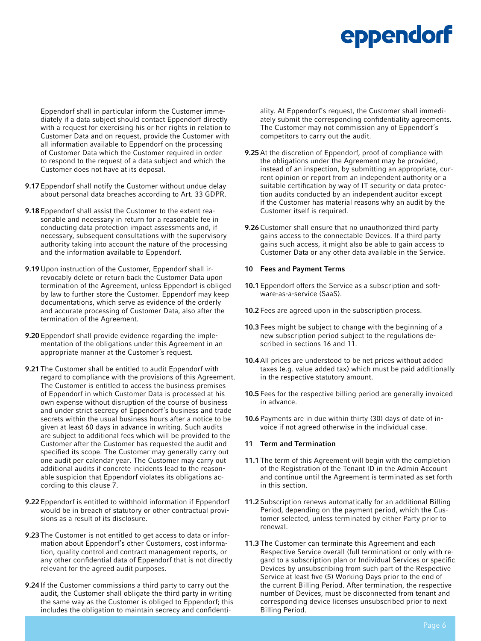Eppendorf shall in particular inform the Customer immediately if a data subject should contact Eppendorf directly with a request for exercising his or her rights in relation to Customer Data and on request, provide the Customer with all information available to Eppendorf on the processing of Customer Data which the Customer required in order to respond to the request of a data subject and which the Customer does not have at its deposal.

- 9.17 Eppendorf shall notify the Customer without undue delay about personal data breaches according to Art. 33 GDPR.
- 9.18 Eppendorf shall assist the Customer to the extent reasonable and necessary in return for a reasonable fee in conducting data protection impact assessments and, if necessary, subsequent consultations with the supervisory authority taking into account the nature of the processing and the information available to Eppendorf.
- 9.19 Upon instruction of the Customer, Eppendorf shall irrevocably delete or return back the Customer Data upon termination of the Agreement, unless Eppendorf is obliged by law to further store the Customer. Eppendorf may keep documentations, which serve as evidence of the orderly and accurate processing of Customer Data, also after the termination of the Agreement.
- 9.20 Eppendorf shall provide evidence regarding the implementation of the obligations under this Agreement in an appropriate manner at the Customer´s request.
- 9.21 The Customer shall be entitled to audit Eppendorf with regard to compliance with the provisions of this Agreement. The Customer is entitled to access the business premises of Eppendorf in which Customer Data is processed at his own expense without disruption of the course of business and under strict secrecy of Eppendorf´s business and trade secrets within the usual business hours after a notice to be given at least 60 days in advance in writing. Such audits are subject to additional fees which will be provided to the Customer after the Customer has requested the audit and specified its scope. The Customer may generally carry out one audit per calendar year. The Customer may carry out additional audits if concrete incidents lead to the reasonable suspicion that Eppendorf violates its obligations according to this clause 7.
- 9.22 Eppendorf is entitled to withhold information if Eppendorf would be in breach of statutory or other contractual provisions as a result of its disclosure.
- 9.23 The Customer is not entitled to get access to data or information about Eppendorf's other Customers, cost information, quality control and contract management reports, or any other confidential data of Eppendorf that is not directly relevant for the agreed audit purposes.
- 9.24 If the Customer commissions a third party to carry out the audit, the Customer shall obligate the third party in writing the same way as the Customer is obliged to Eppendorf; this includes the obligation to maintain secrecy and confidenti-

ality. At Eppendorf's request, the Customer shall immediately submit the corresponding confidentiality agreements. The Customer may not commission any of Eppendorf´s competitors to carry out the audit.

- 9.25 At the discretion of Eppendorf, proof of compliance with the obligations under the Agreement may be provided, instead of an inspection, by submitting an appropriate, current opinion or report from an independent authority or a suitable certification by way of IT security or data protection audits conducted by an independent auditor except if the Customer has material reasons why an audit by the Customer itself is required.
- 9.26 Customer shall ensure that no unauthorized third party gains access to the connectable Devices. If a third party gains such access, it might also be able to gain access to Customer Data or any other data available in the Service.

#### 10 Fees and Payment Terms

- 10.1 Eppendorf offers the Service as a subscription and software-as-a-service (SaaS).
- 10.2 Fees are agreed upon in the subscription process.
- 10.3 Fees might be subject to change with the beginning of a new subscription period subject to the regulations described in sections 16 and 11.
- 10.4 All prices are understood to be net prices without added taxes (e.g. value added tax) which must be paid additionally in the respective statutory amount.
- 10.5 Fees for the respective billing period are generally invoiced in advance.
- 10.6 Payments are in due within thirty (30) days of date of invoice if not agreed otherwise in the individual case.

#### 11 Term and Termination

- 11.1 The term of this Agreement will begin with the completion of the Registration of the Tenant ID in the Admin Account and continue until the Agreement is terminated as set forth in this section.
- 11.2 Subscription renews automatically for an additional Billing Period, depending on the payment period, which the Customer selected, unless terminated by either Party prior to renewal.
- 11.3 The Customer can terminate this Agreement and each Respective Service overall (full termination) or only with regard to a subscription plan or Individual Services or specific Devices by unsubscribing from such part of the Respective Service at least five (5) Working Days prior to the end of the current Billing Period. After termination, the respective number of Devices, must be disconnected from tenant and corresponding device licenses unsubscribed prior to next Billing Period.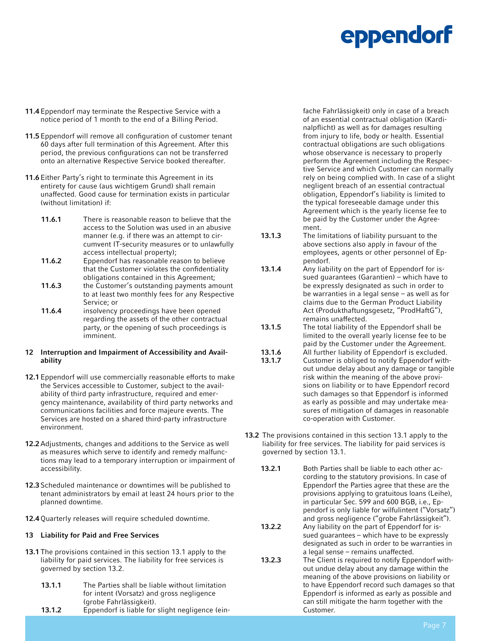- 11.4 Eppendorf may terminate the Respective Service with a notice period of 1 month to the end of a Billing Period.
- 11.5 Eppendorf will remove all configuration of customer tenant 60 days after full termination of this Agreement. After this period, the previous configurations can not be transferred onto an alternative Respective Service booked thereafter.
- 11.6 Either Party's right to terminate this Agreement in its entirety for cause (aus wichtigem Grund) shall remain unaffected. Good cause for termination exists in particular (without limitation) if:
	- 11.6.1 There is reasonable reason to believe that the access to the Solution was used in an abusive manner (e.g. if there was an attempt to circumvent IT-security measures or to unlawfully access intellectual property);
	- 11.6.2 Eppendorf has reasonable reason to believe that the Customer violates the confidentiality obligations contained in this Agreement;
	- 11.6.3 the Customer's outstanding payments amount to at least two monthly fees for any Respective Service; or
	- 11.6.4 insolvency proceedings have been opened regarding the assets of the other contractual party, or the opening of such proceedings is imminent.

#### 12 Interruption and Impairment of Accessibility and Availability

- 12.1 Eppendorf will use commercially reasonable efforts to make the Services accessible to Customer, subject to the availability of third party infrastructure, required and emergency maintenance, availability of third party networks and communications facilities and force majeure events. The Services are hosted on a shared third-party infrastructure environment.
- 12.2 Adjustments, changes and additions to the Service as well as measures which serve to identify and remedy malfunctions may lead to a temporary interruption or impairment of accessibility.
- 12.3 Scheduled maintenance or downtimes will be published to tenant administrators by email at least 24 hours prior to the planned downtime.
- 12.4 Quarterly releases will require scheduled downtime.

#### 13 Liability for Paid and Free Services

- 13.1 The provisions contained in this section 13.1 apply to the liability for paid services. The liability for free services is governed by section 13.2.
	- 13.1.1 The Parties shall be liable without limitation for intent (Vorsatz) and gross negligence (grobe Fahrlässigkeit). 13.1.2 Eppendorf is liable for slight negligence (ein-

fache Fahrlässigkeit) only in case of a breach of an essential contractual obligation (Kardinalpflicht) as well as for damages resulting from injury to life, body or health. Essential contractual obligations are such obligations whose observance is necessary to properly perform the Agreement including the Respective Service and which Customer can normally rely on being complied with. In case of a slight negligent breach of an essential contractual obligation, Eppendorf's liability is limited to the typical foreseeable damage under this Agreement which is the yearly license fee to be paid by the Customer under the Agreement.

- 13.1.3 The limitations of liability pursuant to the above sections also apply in favour of the employees, agents or other personnel of Eppendorf.
- 13.1.4 Any liability on the part of Eppendorf for issued guarantees (Garantien) – which have to be expressly designated as such in order to be warranties in a legal sense – as well as for claims due to the German Product Liability Act (Produkthaftungsgesetz, "ProdHaftG"), remains unaffected.
- 13.1.5 The total liability of the Eppendorf shall be limited to the overall yearly license fee to be paid by the Customer under the Agreement.
- 13.1.6 All further liability of Eppendorf is excluded. 13.1.7 Customer is obliged to notify Eppendorf without undue delay about any damage or tangible risk within the meaning of the above provisions on liability or to have Eppendorf record such damages so that Eppendorf is informed as early as possible and may undertake measures of mitigation of damages in reasonable co-operation with Customer.
- 13.2 The provisions contained in this section 13.1 apply to the liability for free services. The liability for paid services is governed by section 13.1.
	- 13.2.1 Both Parties shall be liable to each other according to the statutory provisions. In case of Eppendorf the Parties agree that these are the provisions applying to gratuitous loans (Leihe), in particular Sec. 599 and 600 BGB, i.e., Eppendorf is only liable for wilfulintent ("Vorsatz") and gross negligence ("grobe Fahrlässigkeit").
	- 13.2.2 Any liability on the part of Eppendorf for issued guarantees – which have to be expressly designated as such in order to be warranties in a legal sense – remains unaffected.
	- 13.2.3 The Client is required to notify Eppendorf without undue delay about any damage within the meaning of the above provisions on liability or to have Eppendorf record such damages so that Eppendorf is informed as early as possible and can still mitigate the harm together with the Customer.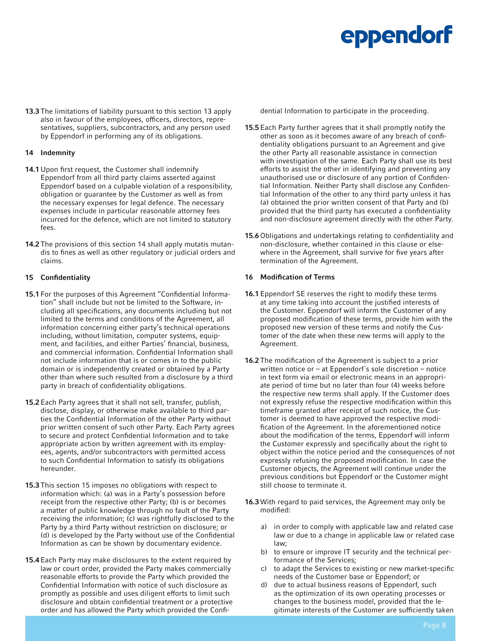13.3 The limitations of liability pursuant to this section 13 apply also in favour of the employees, officers, directors, representatives, suppliers, subcontractors, and any person used by Eppendorf in performing any of its obligations.

#### 14 Indemnity

- 14.1 Upon first request, the Customer shall indemnify Eppendorf from all third party claims asserted against Eppendorf based on a culpable violation of a responsibility, obligation or guarantee by the Customer as well as from the necessary expenses for legal defence. The necessary expenses include in particular reasonable attorney fees incurred for the defence, which are not limited to statutory fees.
- 14.2 The provisions of this section 14 shall apply mutatis mutandis to fines as well as other regulatory or judicial orders and claims.

#### 15 Confidentiality

- 15.1 For the purposes of this Agreement "Confidential Information" shall include but not be limited to the Software, including all specifications, any documents including but not limited to the terms and conditions of the Agreement, all information concerning either party's technical operations including, without limitation, computer systems, equipment, and facilities, and either Parties' financial, business, and commercial information. Confidential Information shall not include information that is or comes in to the public domain or is independently created or obtained by a Party other than where such resulted from a disclosure by a third party in breach of confidentiality obligations.
- 15.2 Each Party agrees that it shall not sell, transfer, publish, disclose, display, or otherwise make available to third parties the Confidential Information of the other Party without prior written consent of such other Party. Each Party agrees to secure and protect Confidential Information and to take appropriate action by written agreement with its employees, agents, and/or subcontractors with permitted access to such Confidential Information to satisfy its obligations hereunder.
- 15.3 This section 15 imposes no obligations with respect to information which: (a) was in a Party's possession before receipt from the respective other Party; (b) is or becomes a matter of public knowledge through no fault of the Party receiving the information; (c) was rightfully disclosed to the Party by a third Party without restriction on disclosure; or (d) is developed by the Party without use of the Confidential Information as can be shown by documentary evidence.
- 15.4 Each Party may make disclosures to the extent required by law or court order, provided the Party makes commercially reasonable efforts to provide the Party which provided the Confidential Information with notice of such disclosure as promptly as possible and uses diligent efforts to limit such disclosure and obtain confidential treatment or a protective order and has allowed the Party which provided the Confi-

dential Information to participate in the proceeding.

- 15.5 Each Party further agrees that it shall promptly notify the other as soon as it becomes aware of any breach of confidentiality obligations pursuant to an Agreement and give the other Party all reasonable assistance in connection with investigation of the same. Each Party shall use its best efforts to assist the other in identifying and preventing any unauthorised use or disclosure of any portion of Confidential Information. Neither Party shall disclose any Confidential Information of the other to any third party unless it has (a) obtained the prior written consent of that Party and (b) provided that the third party has executed a confidentiality and non-disclosure agreement directly with the other Party.
- 15.6 Obligations and undertakings relating to confidentiality and non-disclosure, whether contained in this clause or elsewhere in the Agreement, shall survive for five years after termination of the Agreement.

#### 16 Modification of Terms

- 16.1 Eppendorf SE reserves the right to modify these terms at any time taking into account the justified interests of the Customer. Eppendorf will inform the Customer of any proposed modification of these terms, provide him with the proposed new version of these terms and notify the Customer of the date when these new terms will apply to the Agreement.
- 16.2 The modification of the Agreement is subject to a prior written notice or – at Eppendorf´s sole discretion – notice in text form via email or electronic means in an appropriate period of time but no later than four (4) weeks before the respective new terms shall apply. If the Customer does not expressly refuse the respective modification within this timeframe granted after receipt of such notice, the Customer is deemed to have approved the respective modification of the Agreement. In the aforementioned notice about the modification of the terms, Eppendorf will inform the Customer expressly and specifically about the right to object within the notice period and the consequences of not expressly refusing the proposed modification. In case the Customer objects, the Agreement will continue under the previous conditions but Eppendorf or the Customer might still choose to terminate it.
- 16.3 With regard to paid services, the Agreement may only be modified:
	- a) in order to comply with applicable law and related case law or due to a change in applicable law or related case law;
	- b) to ensure or improve IT security and the technical performance of the Services;
	- c) to adapt the Services to existing or new market-specific needs of the Customer base or Eppendorf; or
	- d) due to actual business reasons of Eppendorf, such as the optimization of its own operating processes or changes to the business model, provided that the legitimate interests of the Customer are sufficiently taken